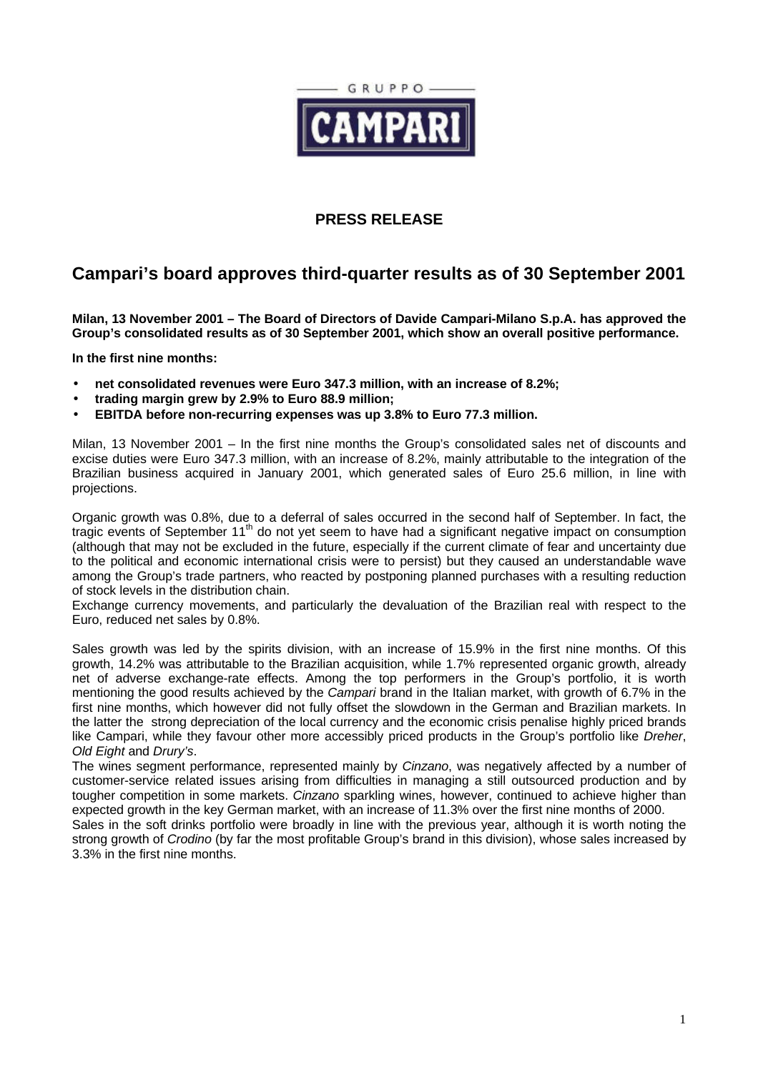

## **PRESS RELEASE**

## **Campari's board approves third-quarter results as of 30 September 2001**

**Milan, 13 November 2001 – The Board of Directors of Davide Campari-Milano S.p.A. has approved the Group's consolidated results as of 30 September 2001, which show an overall positive performance.**

**In the first nine months:**

- **net consolidated revenues were Euro 347.3 million, with an increase of 8.2%;**
- **trading margin grew by 2.9% to Euro 88.9 million;**
- **EBITDA before non-recurring expenses was up 3.8% to Euro 77.3 million.**

Milan, 13 November 2001 – In the first nine months the Group's consolidated sales net of discounts and excise duties were Euro 347.3 million, with an increase of 8.2%, mainly attributable to the integration of the Brazilian business acquired in January 2001, which generated sales of Euro 25.6 million, in line with projections.

Organic growth was 0.8%, due to a deferral of sales occurred in the second half of September. In fact, the tragic events of September 11<sup>th</sup> do not yet seem to have had a significant negative impact on consumption (although that may not be excluded in the future, especially if the current climate of fear and uncertainty due to the political and economic international crisis were to persist) but they caused an understandable wave among the Group's trade partners, who reacted by postponing planned purchases with a resulting reduction of stock levels in the distribution chain.

Exchange currency movements, and particularly the devaluation of the Brazilian real with respect to the Euro, reduced net sales by 0.8%.

Sales growth was led by the spirits division, with an increase of 15.9% in the first nine months. Of this growth, 14.2% was attributable to the Brazilian acquisition, while 1.7% represented organic growth, already net of adverse exchange-rate effects. Among the top performers in the Group's portfolio, it is worth mentioning the good results achieved by the *Campari* brand in the Italian market, with growth of 6.7% in the first nine months, which however did not fully offset the slowdown in the German and Brazilian markets. In the latter the strong depreciation of the local currency and the economic crisis penalise highly priced brands like Campari, while they favour other more accessibly priced products in the Group's portfolio like *Dreher*, *Old Eight* and *Drury's*.

The wines segment performance, represented mainly by *Cinzano*, was negatively affected by a number of customer-service related issues arising from difficulties in managing a still outsourced production and by tougher competition in some markets. *Cinzano* sparkling wines, however, continued to achieve higher than expected growth in the key German market, with an increase of 11.3% over the first nine months of 2000.

Sales in the soft drinks portfolio were broadly in line with the previous year, although it is worth noting the strong growth of *Crodino* (by far the most profitable Group's brand in this division), whose sales increased by 3.3% in the first nine months.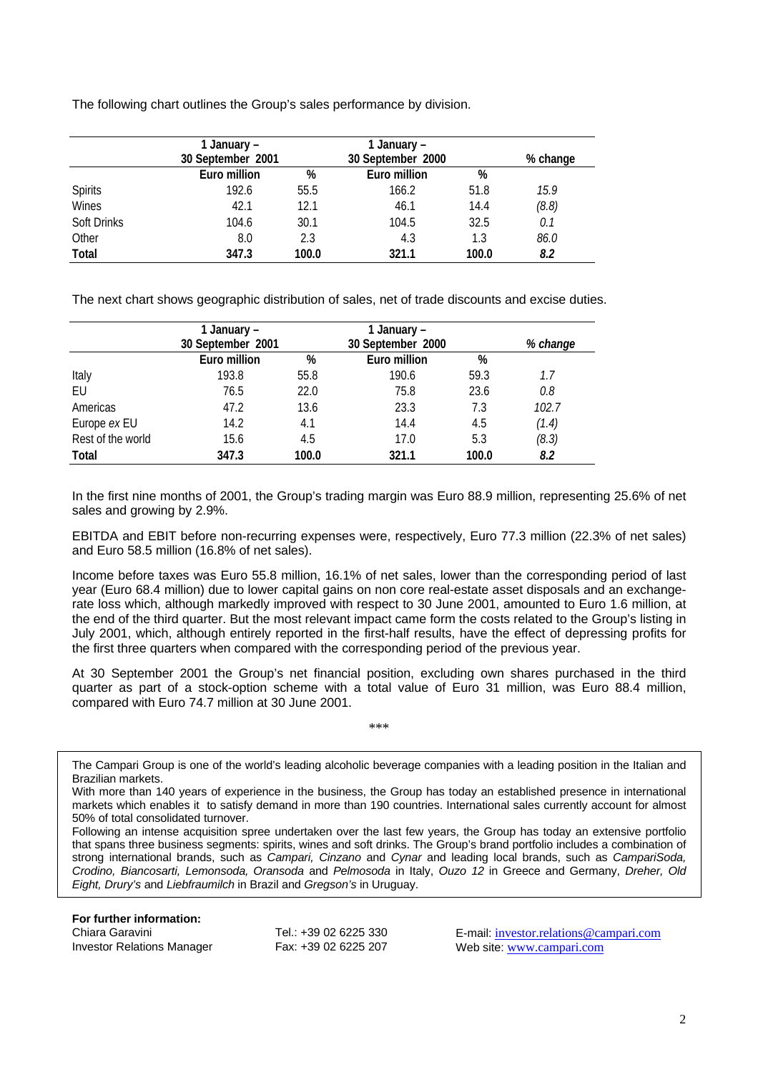The following chart outlines the Group's sales performance by division.

|                | 1 January –<br>30 September 2001 |       | 1 January –<br>30 September 2000 |       | % change |
|----------------|----------------------------------|-------|----------------------------------|-------|----------|
|                | Euro million                     | %     | Euro million                     | %     |          |
| <b>Spirits</b> | 192.6                            | 55.5  | 166.2                            | 51.8  | 15.9     |
| Wines          | 42.1                             | 12.1  | 46.1                             | 14.4  | (8.8)    |
| Soft Drinks    | 104.6                            | 30.1  | 104.5                            | 32.5  | 0.1      |
| Other          | 8.0                              | 2.3   | 4.3                              | 1.3   | 86.0     |
| Total          | 347.3                            | 100.0 | 321.1                            | 100.0 | 8.2      |

The next chart shows geographic distribution of sales, net of trade discounts and excise duties.

|                   | 1 January –       |       | 1 January –       |          |       |
|-------------------|-------------------|-------|-------------------|----------|-------|
|                   | 30 September 2001 |       | 30 September 2000 | % change |       |
|                   | Euro million      | %     | Euro million      | %        |       |
| Italy             | 193.8             | 55.8  | 190.6             | 59.3     | 1.7   |
| EU                | 76.5              | 22.0  | 75.8              | 23.6     | 0.8   |
| Americas          | 47.2              | 13.6  | 23.3              | 7.3      | 102.7 |
| Europe ex EU      | 14.2              | 4.1   | 14.4              | 4.5      | (1.4) |
| Rest of the world | 15.6              | 4.5   | 17.0              | 5.3      | (8.3) |
| <b>Total</b>      | 347.3             | 100.0 | 321.1             | 100.0    | 8.2   |

In the first nine months of 2001, the Group's trading margin was Euro 88.9 million, representing 25.6% of net sales and growing by 2.9%.

EBITDA and EBIT before non-recurring expenses were, respectively, Euro 77.3 million (22.3% of net sales) and Euro 58.5 million (16.8% of net sales).

Income before taxes was Euro 55.8 million, 16.1% of net sales, lower than the corresponding period of last year (Euro 68.4 million) due to lower capital gains on non core real-estate asset disposals and an exchangerate loss which, although markedly improved with respect to 30 June 2001, amounted to Euro 1.6 million, at the end of the third quarter. But the most relevant impact came form the costs related to the Group's listing in July 2001, which, although entirely reported in the first-half results, have the effect of depressing profits for the first three quarters when compared with the corresponding period of the previous year.

At 30 September 2001 the Group's net financial position, excluding own shares purchased in the third quarter as part of a stock-option scheme with a total value of Euro 31 million, was Euro 88.4 million, compared with Euro 74.7 million at 30 June 2001.

\*\*\*

The Campari Group is one of the world's leading alcoholic beverage companies with a leading position in the Italian and Brazilian markets.

With more than 140 years of experience in the business, the Group has today an established presence in international markets which enables it to satisfy demand in more than 190 countries. International sales currently account for almost 50% of total consolidated turnover.

Following an intense acquisition spree undertaken over the last few years, the Group has today an extensive portfolio that spans three business segments: spirits, wines and soft drinks. The Group's brand portfolio includes a combination of strong international brands, such as *Campari, Cinzano* and *Cynar* and leading local brands, such as *CampariSoda, Crodino, Biancosarti, Lemonsoda, Oransoda* and *Pelmosoda* in Italy, *Ouzo 12* in Greece and Germany, *Dreher, Old Eight, Drury's* and *Liebfraumilch* in Brazil and *Gregson's* in Uruguay.

**For further information:**

Chiara Garavini Tel.: +39 02 6225 330 E-mail: investor.relations@campari.com Investor Relations Manager Fax: +39 02 6225 207 Web site: www.campari.com